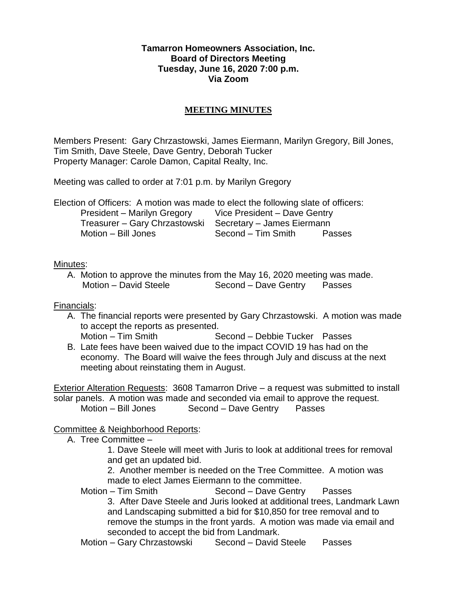#### **Tamarron Homeowners Association, Inc. Board of Directors Meeting Tuesday, June 16, 2020 7:00 p.m. Via Zoom**

## **MEETING MINUTES**

Members Present: Gary Chrzastowski, James Eiermann, Marilyn Gregory, Bill Jones, Tim Smith, Dave Steele, Dave Gentry, Deborah Tucker Property Manager: Carole Damon, Capital Realty, Inc.

Meeting was called to order at 7:01 p.m. by Marilyn Gregory

Election of Officers: A motion was made to elect the following slate of officers: President – Marilyn Gregory Vice President – Dave Gentry Treasurer – Gary Chrzastowski Secretary – James Eiermann Motion – Bill Jones Second – Tim Smith Passes

#### Minutes:

A. Motion to approve the minutes from the May 16, 2020 meeting was made. Motion – David Steele Second – Dave Gentry Passes

### Financials:

A. The financial reports were presented by Gary Chrzastowski. A motion was made to accept the reports as presented.

Motion – Tim Smith Second – Debbie Tucker Passes

B. Late fees have been waived due to the impact COVID 19 has had on the economy. The Board will waive the fees through July and discuss at the next meeting about reinstating them in August.

Exterior Alteration Requests: 3608 Tamarron Drive – a request was submitted to install solar panels. A motion was made and seconded via email to approve the request. Motion – Bill Jones Second – Dave Gentry Passes

### Committee & Neighborhood Reports:

A. Tree Committee –

1. Dave Steele will meet with Juris to look at additional trees for removal and get an updated bid.

2. Another member is needed on the Tree Committee. A motion was made to elect James Eiermann to the committee.

Motion – Tim Smith Second – Dave Gentry Passes 3. After Dave Steele and Juris looked at additional trees, Landmark Lawn and Landscaping submitted a bid for \$10,850 for tree removal and to remove the stumps in the front yards. A motion was made via email and seconded to accept the bid from Landmark.

Motion – Gary Chrzastowski Second – David Steele Passes